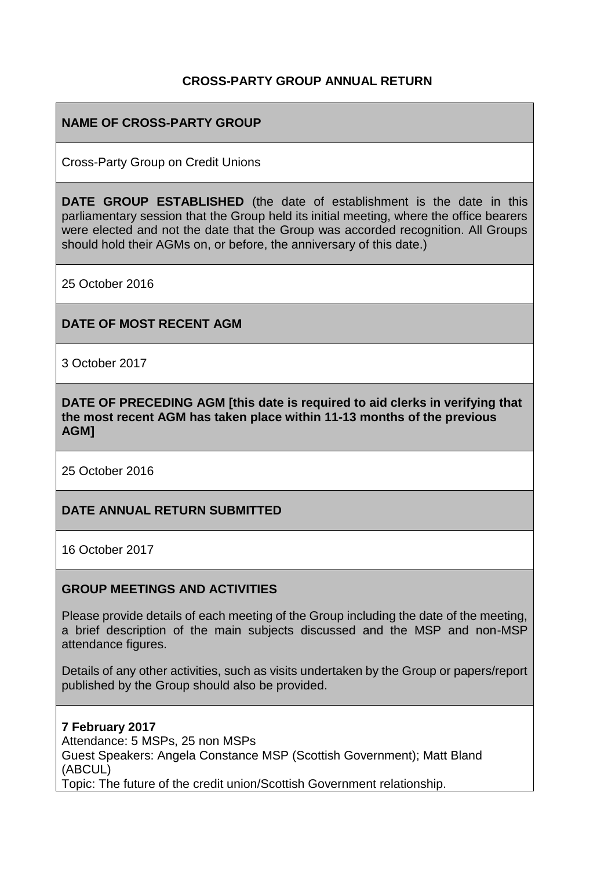### **CROSS-PARTY GROUP ANNUAL RETURN**

## **NAME OF CROSS-PARTY GROUP**

Cross-Party Group on Credit Unions

**DATE GROUP ESTABLISHED** (the date of establishment is the date in this parliamentary session that the Group held its initial meeting, where the office bearers were elected and not the date that the Group was accorded recognition. All Groups should hold their AGMs on, or before, the anniversary of this date.)

25 October 2016

#### **DATE OF MOST RECENT AGM**

3 October 2017

**DATE OF PRECEDING AGM [this date is required to aid clerks in verifying that the most recent AGM has taken place within 11-13 months of the previous AGM]**

25 October 2016

### **DATE ANNUAL RETURN SUBMITTED**

16 October 2017

#### **GROUP MEETINGS AND ACTIVITIES**

Please provide details of each meeting of the Group including the date of the meeting, a brief description of the main subjects discussed and the MSP and non-MSP attendance figures.

Details of any other activities, such as visits undertaken by the Group or papers/report published by the Group should also be provided.

**7 February 2017** Attendance: 5 MSPs, 25 non MSPs Guest Speakers: Angela Constance MSP (Scottish Government); Matt Bland (ABCUL) Topic: The future of the credit union/Scottish Government relationship.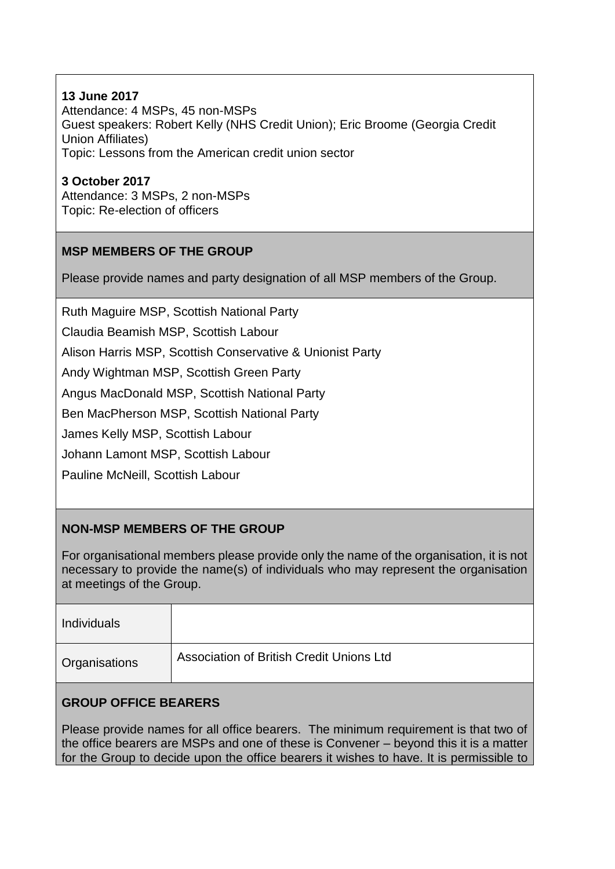**13 June 2017** Attendance: 4 MSPs, 45 non-MSPs Guest speakers: Robert Kelly (NHS Credit Union); Eric Broome (Georgia Credit Union Affiliates) Topic: Lessons from the American credit union sector

**3 October 2017** Attendance: 3 MSPs, 2 non-MSPs Topic: Re-election of officers

### **MSP MEMBERS OF THE GROUP**

Please provide names and party designation of all MSP members of the Group.

Ruth Maguire MSP, Scottish National Party

Claudia Beamish MSP, Scottish Labour

Alison Harris MSP, Scottish Conservative & Unionist Party

Andy Wightman MSP, Scottish Green Party

Angus MacDonald MSP, Scottish National Party

Ben MacPherson MSP, Scottish National Party

James Kelly MSP, Scottish Labour

Johann Lamont MSP, Scottish Labour

Pauline McNeill, Scottish Labour

### **NON-MSP MEMBERS OF THE GROUP**

For organisational members please provide only the name of the organisation, it is not necessary to provide the name(s) of individuals who may represent the organisation at meetings of the Group.

| Individuals   |                                          |
|---------------|------------------------------------------|
| Organisations | Association of British Credit Unions Ltd |

### **GROUP OFFICE BEARERS**

Please provide names for all office bearers. The minimum requirement is that two of the office bearers are MSPs and one of these is Convener – beyond this it is a matter for the Group to decide upon the office bearers it wishes to have. It is permissible to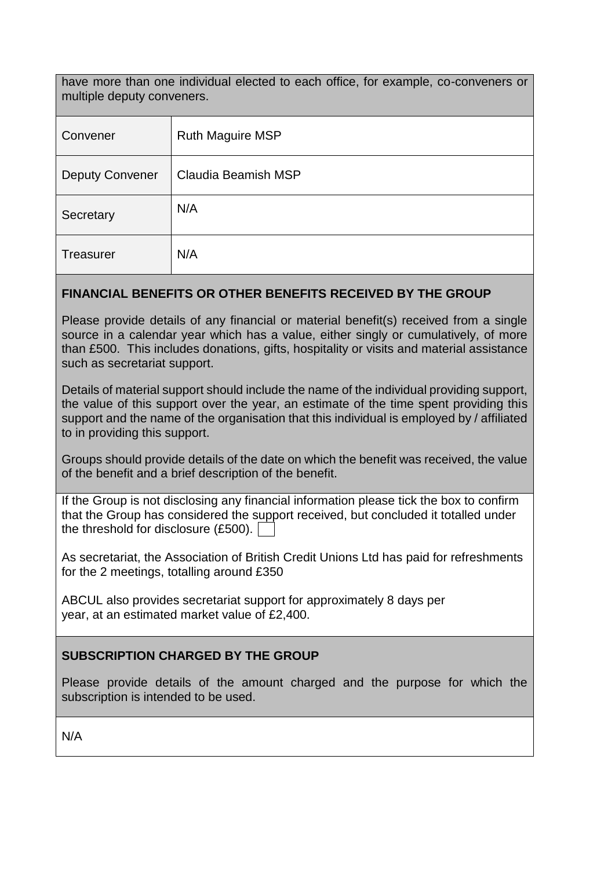have more than one individual elected to each office, for example, co-conveners or multiple deputy conveners.

| Convener               | <b>Ruth Maguire MSP</b>    |
|------------------------|----------------------------|
| <b>Deputy Convener</b> | <b>Claudia Beamish MSP</b> |
| Secretary              | N/A                        |
| Treasurer              | N/A                        |

### **FINANCIAL BENEFITS OR OTHER BENEFITS RECEIVED BY THE GROUP**

Please provide details of any financial or material benefit(s) received from a single source in a calendar year which has a value, either singly or cumulatively, of more than £500. This includes donations, gifts, hospitality or visits and material assistance such as secretariat support.

Details of material support should include the name of the individual providing support, the value of this support over the year, an estimate of the time spent providing this support and the name of the organisation that this individual is employed by / affiliated to in providing this support.

Groups should provide details of the date on which the benefit was received, the value of the benefit and a brief description of the benefit.

If the Group is not disclosing any financial information please tick the box to confirm that the Group has considered the support received, but concluded it totalled under the threshold for disclosure (£500).

As secretariat, the Association of British Credit Unions Ltd has paid for refreshments for the 2 meetings, totalling around £350

ABCUL also provides secretariat support for approximately 8 days per year, at an estimated market value of £2,400.

# **SUBSCRIPTION CHARGED BY THE GROUP**

Please provide details of the amount charged and the purpose for which the subscription is intended to be used.

N/A